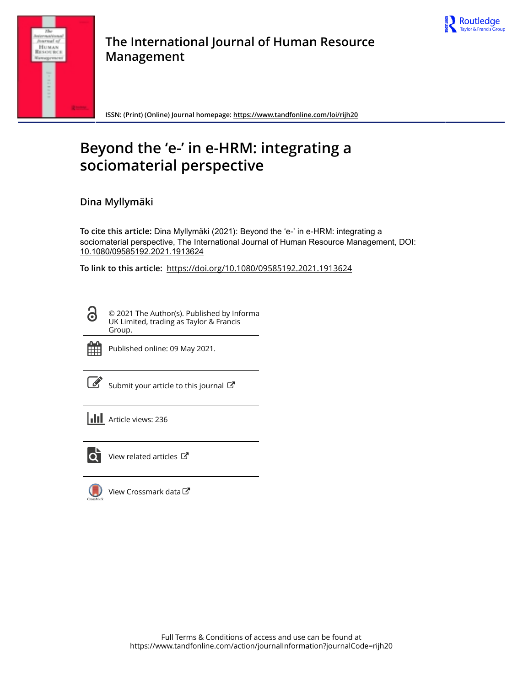



**The International Journal of Human Resource Management**

**ISSN: (Print) (Online) Journal homepage: https://www.tandfonline.com/loi/rijh20**

# **Beyond the 'e-' in e-HRM: integrating a sociomaterial perspective**

**Dina Myllymäki**

**To cite this article:** Dina Myllymäki (2021): Beyond the 'e-' in e-HRM: integrating a sociomaterial perspective, The International Journal of Human Resource Management, DOI: 10.1080/09585192.2021.1913624

**To link to this article:** https://doi.org/10.1080/09585192.2021.1913624

© 2021 The Author(s). Published by Informa UK Limited, trading as Taylor & Francis Group.



ര

Published online: 09 May 2021.

Submit your article to this journal  $\mathbb{Z}$ 

**III** Article views: 236



 $\overrightarrow{Q}$  View related articles  $\overrightarrow{C}$ 

View Crossmark data $\mathbb{Z}$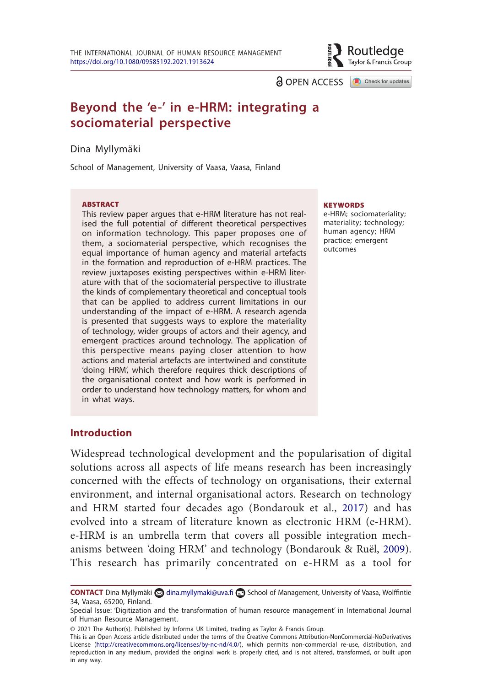

a OPEN ACCESS **a** Check for updates

# **Beyond the 'e-' in e-HRM: integrating a sociomaterial perspective**

Dina Myllymäki

School of Management, University of Vaasa, Vaasa, Finland

#### **ARSTRACT**

This review paper argues that e-HRM literature has not realised the full potential of different theoretical perspectives on information technology. This paper proposes one of them, a sociomaterial perspective, which recognises the equal importance of human agency and material artefacts in the formation and reproduction of e-HRM practices. The review juxtaposes existing perspectives within e-HRM literature with that of the sociomaterial perspective to illustrate the kinds of complementary theoretical and conceptual tools that can be applied to address current limitations in our understanding of the impact of e-HRM. A research agenda is presented that suggests ways to explore the materiality of technology, wider groups of actors and their agency, and emergent practices around technology. The application of this perspective means paying closer attention to how actions and material artefacts are intertwined and constitute 'doing HRM', which therefore requires thick descriptions of the organisational context and how work is performed in order to understand how technology matters, for whom and in what ways.

#### **KEYWORDS**

e-HRM; sociomateriality; materiality; technology; human agency; HRM practice; emergent outcomes

#### **Introduction**

Widespread technological development and the popularisation of digital solutions across all aspects of life means research has been increasingly concerned with the effects of technology on organisations, their external environment, and internal organisational actors. Research on technology and HRM started four decades ago (Bondarouk et al., 2017) and has evolved into a stream of literature known as electronic HRM (e-HRM). e-HRM is an umbrella term that covers all possible integration mechanisms between 'doing HRM' and technology (Bondarouk & Ruël, 2009). This research has primarily concentrated on e-HRM as a tool for

This is an Open Access article distributed under the terms of the Creative Commons Attribution-NonCommercial-NoDerivatives License (http://creativecommons.org/licenses/by-nc-nd/4.0/), which permits non-commercial re-use, distribution, and reproduction in any medium, provided the original work is properly cited, and is not altered, transformed, or built upon in any way.

CONTACT Dina Myllymäki **od dina.myllymaki@uva.fi <b>en** School of Management, University of Vaasa, Wolffintie 34, Vaasa, 65200, Finland.

Special Issue: 'Digitization and the transformation of human resource management' in International Journal of Human Resource Management.

<sup>© 2021</sup> The Author(s). Published by Informa UK Limited, trading as Taylor & Francis Group.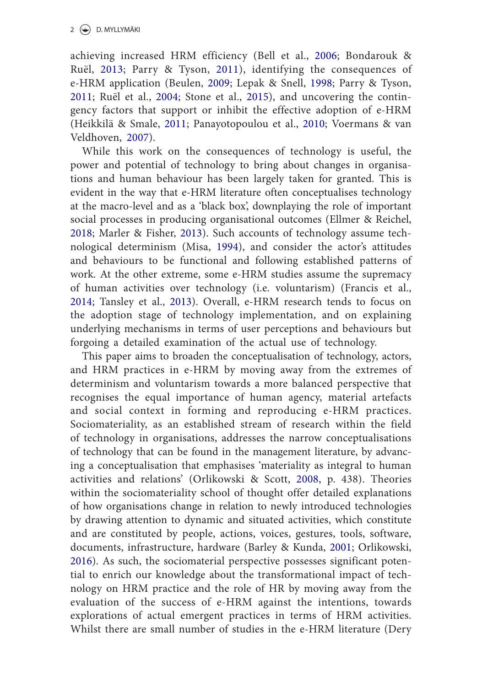achieving increased HRM efficiency (Bell et al., 2006; Bondarouk & Ruël, 2013; Parry & Tyson, 2011), identifying the consequences of e-HRM application (Beulen, 2009; Lepak & Snell, 1998; Parry & Tyson, 2011; Ruël et al., 2004; Stone et al., 2015), and uncovering the contingency factors that support or inhibit the effective adoption of e-HRM (Heikkilä & Smale, 2011; Panayotopoulou et al., 2010; Voermans & van Veldhoven, 2007).

While this work on the consequences of technology is useful, the power and potential of technology to bring about changes in organisations and human behaviour has been largely taken for granted. This is evident in the way that e-HRM literature often conceptualises technology at the macro-level and as a 'black box', downplaying the role of important social processes in producing organisational outcomes (Ellmer & Reichel, 2018; Marler & Fisher, 2013). Such accounts of technology assume technological determinism (Misa, 1994), and consider the actor's attitudes and behaviours to be functional and following established patterns of work. At the other extreme, some e-HRM studies assume the supremacy of human activities over technology (i.e. voluntarism) (Francis et al., 2014; Tansley et al., 2013). Overall, e-HRM research tends to focus on the adoption stage of technology implementation, and on explaining underlying mechanisms in terms of user perceptions and behaviours but forgoing a detailed examination of the actual use of technology.

This paper aims to broaden the conceptualisation of technology, actors, and HRM practices in e-HRM by moving away from the extremes of determinism and voluntarism towards a more balanced perspective that recognises the equal importance of human agency, material artefacts and social context in forming and reproducing e-HRM practices. Sociomateriality, as an established stream of research within the field of technology in organisations, addresses the narrow conceptualisations of technology that can be found in the management literature, by advancing a conceptualisation that emphasises 'materiality as integral to human activities and relations' (Orlikowski & Scott, 2008, p. 438). Theories within the sociomateriality school of thought offer detailed explanations of how organisations change in relation to newly introduced technologies by drawing attention to dynamic and situated activities, which constitute and are constituted by people, actions, voices, gestures, tools, software, documents, infrastructure, hardware (Barley & Kunda, 2001; Orlikowski, 2016). As such, the sociomaterial perspective possesses significant potential to enrich our knowledge about the transformational impact of technology on HRM practice and the role of HR by moving away from the evaluation of the success of e-HRM against the intentions, towards explorations of actual emergent practices in terms of HRM activities. Whilst there are small number of studies in the e-HRM literature (Dery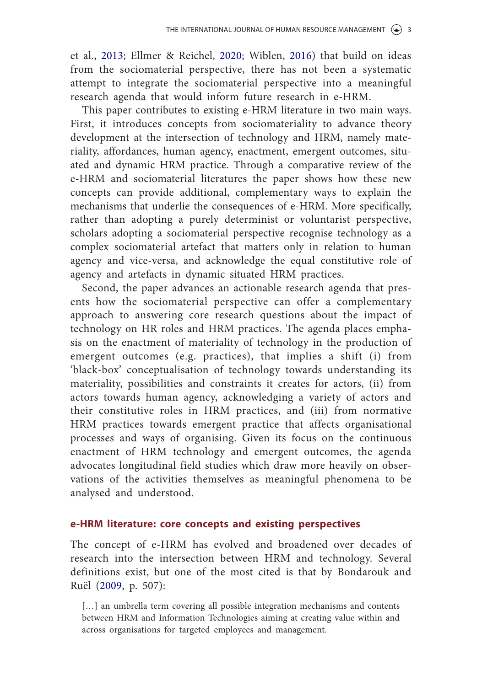et al., 2013; Ellmer & Reichel, 2020; Wiblen, 2016) that build on ideas from the sociomaterial perspective, there has not been a systematic attempt to integrate the sociomaterial perspective into a meaningful research agenda that would inform future research in e-HRM.

This paper contributes to existing e-HRM literature in two main ways. First, it introduces concepts from sociomateriality to advance theory development at the intersection of technology and HRM, namely materiality, affordances, human agency, enactment, emergent outcomes, situated and dynamic HRM practice. Through a comparative review of the e-HRM and sociomaterial literatures the paper shows how these new concepts can provide additional, complementary ways to explain the mechanisms that underlie the consequences of e-HRM. More specifically, rather than adopting a purely determinist or voluntarist perspective, scholars adopting a sociomaterial perspective recognise technology as a complex sociomaterial artefact that matters only in relation to human agency and vice-versa, and acknowledge the equal constitutive role of agency and artefacts in dynamic situated HRM practices.

Second, the paper advances an actionable research agenda that presents how the sociomaterial perspective can offer a complementary approach to answering core research questions about the impact of technology on HR roles and HRM practices. The agenda places emphasis on the enactment of materiality of technology in the production of emergent outcomes (e.g. practices), that implies a shift (i) from 'black-box' conceptualisation of technology towards understanding its materiality, possibilities and constraints it creates for actors, (ii) from actors towards human agency, acknowledging a variety of actors and their constitutive roles in HRM practices, and (iii) from normative HRM practices towards emergent practice that affects organisational processes and ways of organising. Given its focus on the continuous enactment of HRM technology and emergent outcomes, the agenda advocates longitudinal field studies which draw more heavily on observations of the activities themselves as meaningful phenomena to be analysed and understood.

# **e-HRM literature: core concepts and existing perspectives**

The concept of e-HRM has evolved and broadened over decades of research into the intersection between HRM and technology. Several definitions exist, but one of the most cited is that by Bondarouk and Ruël (2009, p. 507):

[...] an umbrella term covering all possible integration mechanisms and contents between HRM and Information Technologies aiming at creating value within and across organisations for targeted employees and management.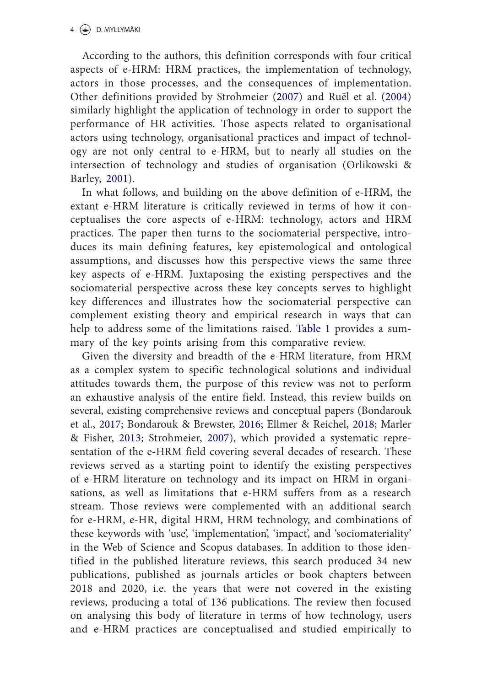According to the authors, this definition corresponds with four critical aspects of e-HRM: HRM practices, the implementation of technology, actors in those processes, and the consequences of implementation. Other definitions provided by Strohmeier (2007) and Ruël et al. (2004) similarly highlight the application of technology in order to support the performance of HR activities. Those aspects related to organisational actors using technology, organisational practices and impact of technology are not only central to e-HRM, but to nearly all studies on the intersection of technology and studies of organisation (Orlikowski & Barley, 2001).

In what follows, and building on the above definition of e-HRM, the extant e-HRM literature is critically reviewed in terms of how it conceptualises the core aspects of e-HRM: technology, actors and HRM practices. The paper then turns to the sociomaterial perspective, introduces its main defining features, key epistemological and ontological assumptions, and discusses how this perspective views the same three key aspects of e-HRM. Juxtaposing the existing perspectives and the sociomaterial perspective across these key concepts serves to highlight key differences and illustrates how the sociomaterial perspective can complement existing theory and empirical research in ways that can help to address some of the limitations raised. Table 1 provides a summary of the key points arising from this comparative review.

Given the diversity and breadth of the e-HRM literature, from HRM as a complex system to specific technological solutions and individual attitudes towards them, the purpose of this review was not to perform an exhaustive analysis of the entire field. Instead, this review builds on several, existing comprehensive reviews and conceptual papers (Bondarouk et al., 2017; Bondarouk & Brewster, 2016; Ellmer & Reichel, 2018; Marler & Fisher, 2013; Strohmeier, 2007), which provided a systematic representation of the e-HRM field covering several decades of research. These reviews served as a starting point to identify the existing perspectives of e-HRM literature on technology and its impact on HRM in organisations, as well as limitations that e-HRM suffers from as a research stream. Those reviews were complemented with an additional search for e-HRM, e-HR, digital HRM, HRM technology, and combinations of these keywords with 'use', 'implementation', 'impact', and 'sociomateriality' in the Web of Science and Scopus databases. In addition to those identified in the published literature reviews, this search produced 34 new publications, published as journals articles or book chapters between 2018 and 2020, i.e. the years that were not covered in the existing reviews, producing a total of 136 publications. The review then focused on analysing this body of literature in terms of how technology, users and e-HRM practices are conceptualised and studied empirically to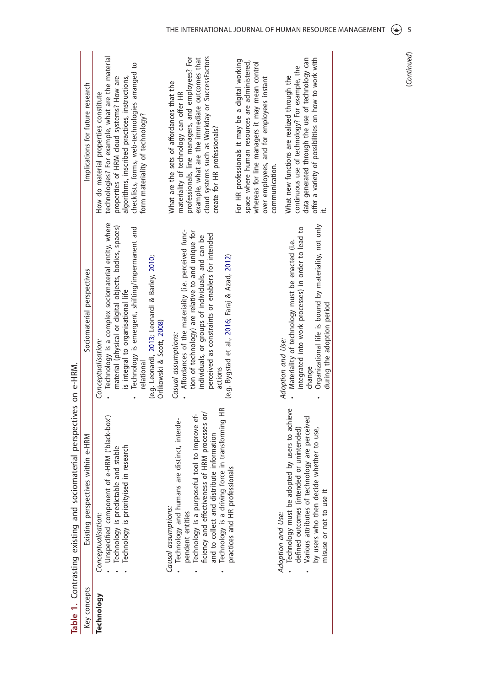| Key concepts | Table 1. Contrasting existing and sociomaterial perspectives on e-HRM<br>ves within e-HRM<br>Existing perspecti                                                                                                                                                                                                                 | Sociomaterial perspectives                                                                                                                                                                                                                                                                                                 | Implications for future research                                                                                                                                                                                                                                              |
|--------------|---------------------------------------------------------------------------------------------------------------------------------------------------------------------------------------------------------------------------------------------------------------------------------------------------------------------------------|----------------------------------------------------------------------------------------------------------------------------------------------------------------------------------------------------------------------------------------------------------------------------------------------------------------------------|-------------------------------------------------------------------------------------------------------------------------------------------------------------------------------------------------------------------------------------------------------------------------------|
| Technology   | Unspecified component of e-HRM ('black-box')<br>Technology is priorityised in research<br>Technology is predictable and stable<br>Conceptualisation:                                                                                                                                                                            | Technology is a complex sociomaterial entity, where<br>material (physical or digital objects, bodies, spaces)<br>Technology is emergent, shifting/impermanent and<br>(e.g. Leonardi, 2013; Leonardi & Barley, 2010;<br>is integral to organisational life<br>Orlikowski & Scott, 2008)<br>Conceptualisation:<br>relational | technologies? For example, what are the material<br>checklists, forms, web-technologies arranged to<br>properties of HRM cloud systems? How are<br>algorithms, inscribed practices, instructions,<br>How do material properties constitute<br>form materiality of technology? |
|              | Technology is a driving force in transforming HR<br>ficiency and effectiveness of HRM processes or/<br>Technology is a purposeful tool to improve ef-<br>Technology and humans are distinct, interde-<br>and to collect and distribute information<br>practices and HR professionals<br>Causal assumptions:<br>pendent entities | Affordances of the materiality (i.e. perceived func-<br>tion of technology) are relative to and unique for<br>perceived as constraints or enablers for intended<br>individuals, or groups of individuals, and can be<br>(e.g. Bygstad et al., 2016; Faraj & Azad, 2012)<br>Casual assumptions:<br>actions                  | cloud systems such as Workday or SuccessFactors<br>professionals, line managers, and employees? For<br>example, what are the immediate outcomes that<br>What are the sets of affordances that the<br>materiality of technology can offer HR<br>create for HR professionals?   |
|              |                                                                                                                                                                                                                                                                                                                                 |                                                                                                                                                                                                                                                                                                                            | For HR professionals it may be a digital working<br>space where human resources are administered,<br>whereas for line managers it may mean control<br>over employees, and for employees instant<br>communication.                                                             |
|              | Technology must be adopted by users to achieve<br>Various attributes of technology are perceived<br>defined outcomes (intended or unintended)<br>by users who then decide whether to use,<br>misuse or not to use it<br>Adoption and Use:                                                                                       | Organizational life is bound by materiality, not only<br>integrated into work processes) in order to lead to<br>Materiality of technology must be enacted (i.e.<br>during the adoption period<br>Adoption and Use:<br>change                                                                                               | offer a variety of possibilities on how to work with<br>data generated through the use of technology can<br>continuous use of technology? For example, the<br>What new functions are realized through the                                                                     |

(Continued) (*Continued*)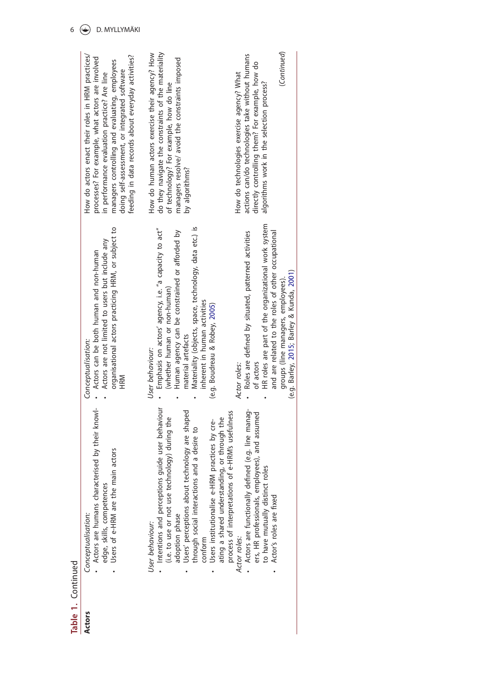| Table 1. Continued<br>Actors | Actors are humans characterised by their knowl-<br>Intentions and perceptions guide user behaviour<br>Users' perceptions about technology are shaped<br>(i.e. to use or not use technology) during the<br>ating a shared understanding, or through the<br>Users institutionalise e-HRM practices by cre-<br>through social interactions and a desire to<br>main actors<br>edge, skills, competences<br>Users of e-HRM are the<br>adoption phase<br>Conceptualisation:<br>User behaviour:<br>conform | Materiality (objects, space, technology, data etc.) is<br>organisational actors practicing HRM, or subject to<br>Emphasis on actors' agency, i.e. "a capacity to act"<br>Human agency can be constrained or afforded by<br>Actors are not limited to users but include any<br>Actors can be both human and non-human<br>(whether human or non-human)<br>inherent in human activities<br>(e.g. Boudreau & Robey, 2005)<br>material artefacts<br>Conceptualisation:<br>User behaviour:<br>HRM | do they navigate the constraints of the materiality<br>How do human actors exercise their agency? How<br>How do actors enact their roles in HRM practices/<br>feeding in data records about everyday activities?<br>processes? For example, what actors are involved<br>managers resolve/ avoid the constraints imposed<br>managers controlling and evaluating, employees<br>doing self-assessment, or integrated software<br>in performance evaluation practice? Are line<br>of technology? For example, how do line<br>by algorithms? |
|------------------------------|-----------------------------------------------------------------------------------------------------------------------------------------------------------------------------------------------------------------------------------------------------------------------------------------------------------------------------------------------------------------------------------------------------------------------------------------------------------------------------------------------------|---------------------------------------------------------------------------------------------------------------------------------------------------------------------------------------------------------------------------------------------------------------------------------------------------------------------------------------------------------------------------------------------------------------------------------------------------------------------------------------------|-----------------------------------------------------------------------------------------------------------------------------------------------------------------------------------------------------------------------------------------------------------------------------------------------------------------------------------------------------------------------------------------------------------------------------------------------------------------------------------------------------------------------------------------|
|                              | Actors are functionally defined (e.g. line manag-<br>process of interpretations of e-HRM's usefulness<br>ers, HR professionals, employees), and assumed<br>to have mutually distinct roles<br>Actor's roles are fixed<br>Actor roles:                                                                                                                                                                                                                                                               | HR roles are part of the organizational work system<br>Roles are defined by situated, patterned activities<br>and are related to the roles of other occupational<br>(e.g. Barley, 2015; Barley & Kunda, 2001)<br>groups (line managers, employees).<br>of actors<br>Actor roles:                                                                                                                                                                                                            | (Continued)<br>actions can/do technologies take without humans<br>directly controlling them? For example, how do<br>How do technologies exercise agency? What<br>algorithms work in the selection process?                                                                                                                                                                                                                                                                                                                              |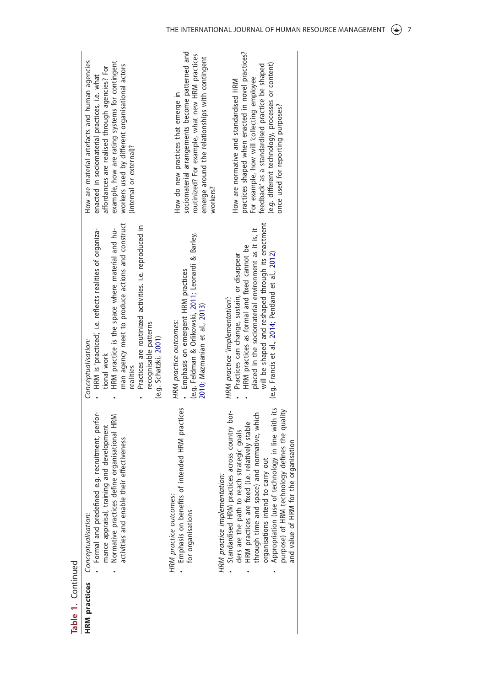| Formal and predefined e.g. recruitment, perfor-<br>Normative practices define organisational HRM<br>mance appraisal, training and development<br>activities and enable their effectiveness<br><b>HRM</b> practices Conceptualisation:                                                                                                                                                                                   | man agency meet to produce actions and construct<br>Practices are routinized activities. i.e. reproduced in<br>HRM is 'practiced', i.e. reflects realities of organiza-<br>HRM practice is the space where material and hu-<br>recognisable patterns<br>(e.g. Schatzki, 2001)<br>Conceptualisation:<br>tional work<br>realities | How are material artefacts and human agencies<br>example, how are rating systems for contingent<br>workers used by different organisational actors<br>affordances are realised through agencies? For<br>enacted in sociomaterial practices, i.e. what<br>(internal or external)?      |
|-------------------------------------------------------------------------------------------------------------------------------------------------------------------------------------------------------------------------------------------------------------------------------------------------------------------------------------------------------------------------------------------------------------------------|---------------------------------------------------------------------------------------------------------------------------------------------------------------------------------------------------------------------------------------------------------------------------------------------------------------------------------|---------------------------------------------------------------------------------------------------------------------------------------------------------------------------------------------------------------------------------------------------------------------------------------|
| Emphasis on benefits of intended HRM practices<br>HRM practice outcomes:<br>for organisations                                                                                                                                                                                                                                                                                                                           | (e.g. Feldman & Orlikowski, 2011; Leonardi & Barley,<br>- Emphasis on emergent HRM practices<br>2010; Mazmanian et al., 2013)<br>HRM practice outcomes:                                                                                                                                                                         | sociomaterial arrangements become patterned and<br>routinized? For example, what new HRM practices<br>emerge around the relationships with contingent<br>How do new practices that emerge in<br>workers?                                                                              |
| Appropriation (use of technology in line with its<br>purpose) of HRM technology defines the quality<br>Standardised HRM practices across country bor-<br>through time and space) and normative, which<br>HRM practices are fixed (i.e. relatively stable<br>ders are the path to reach strategic goals<br>and value of HRM for the organisation<br>carry out<br>HRM practice implementation:<br>organisations intend to | will be shaped and reshaped through its enactment<br>placed in the sociomaterial environment as it is, it<br>HRM practices as formal and fixed cannot be<br>(e.g. Francis et al., 2014; Pentland et al., 2012)<br>Practices can change, sustain, or disappear<br>HRM practice 'implementation':                                 | practices shaped when enacted in novel practices?<br>(e.g. different technology, processes or content)<br>feedback' as a standardised practice be shaped<br>For example, how will 'collecting employee<br>How are normative and standardised HRM<br>once used for reporting purposes? |

Table 1. Continued **Table 1.** Continued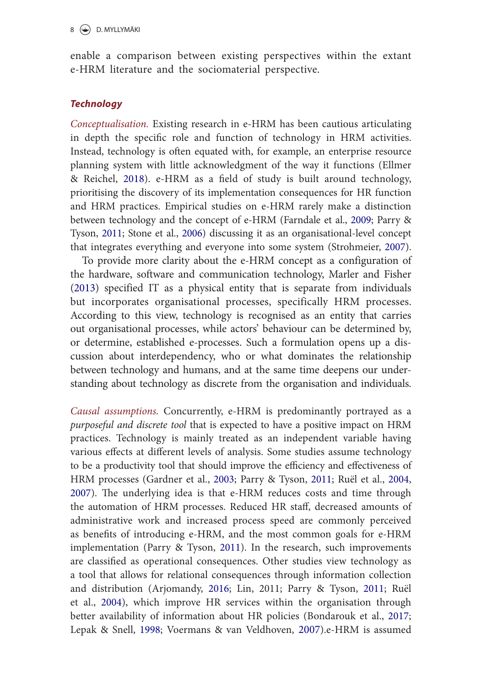enable a comparison between existing perspectives within the extant e-HRM literature and the sociomaterial perspective.

#### *Technology*

*Conceptualisation.* Existing research in e-HRM has been cautious articulating in depth the specific role and function of technology in HRM activities. Instead, technology is often equated with, for example, an enterprise resource planning system with little acknowledgment of the way it functions (Ellmer & Reichel, 2018). e-HRM as a field of study is built around technology, prioritising the discovery of its implementation consequences for HR function and HRM practices. Empirical studies on e-HRM rarely make a distinction between technology and the concept of e-HRM (Farndale et al., 2009; Parry & Tyson, 2011; Stone et al., 2006) discussing it as an organisational-level concept that integrates everything and everyone into some system (Strohmeier, 2007).

To provide more clarity about the e-HRM concept as a configuration of the hardware, software and communication technology, Marler and Fisher (2013) specified IT as a physical entity that is separate from individuals but incorporates organisational processes, specifically HRM processes. According to this view, technology is recognised as an entity that carries out organisational processes, while actors' behaviour can be determined by, or determine, established e-processes. Such a formulation opens up a discussion about interdependency, who or what dominates the relationship between technology and humans, and at the same time deepens our understanding about technology as discrete from the organisation and individuals.

*Causal assumptions.* Concurrently, e-HRM is predominantly portrayed as a *purposeful and discrete tool* that is expected to have a positive impact on HRM practices. Technology is mainly treated as an independent variable having various effects at different levels of analysis. Some studies assume technology to be a productivity tool that should improve the efficiency and effectiveness of HRM processes (Gardner et al., 2003; Parry & Tyson, 2011; Ruël et al., 2004, 2007). The underlying idea is that e-HRM reduces costs and time through the automation of HRM processes. Reduced HR staff, decreased amounts of administrative work and increased process speed are commonly perceived as benefits of introducing e-HRM, and the most common goals for e-HRM implementation (Parry & Tyson, 2011). In the research, such improvements are classified as operational consequences. Other studies view technology as a tool that allows for relational consequences through information collection and distribution (Arjomandy, 2016; Lin, 2011; Parry & Tyson, 2011; Ruël et al., 2004), which improve HR services within the organisation through better availability of information about HR policies (Bondarouk et al., 2017; Lepak & Snell, 1998; Voermans & van Veldhoven, 2007).e-HRM is assumed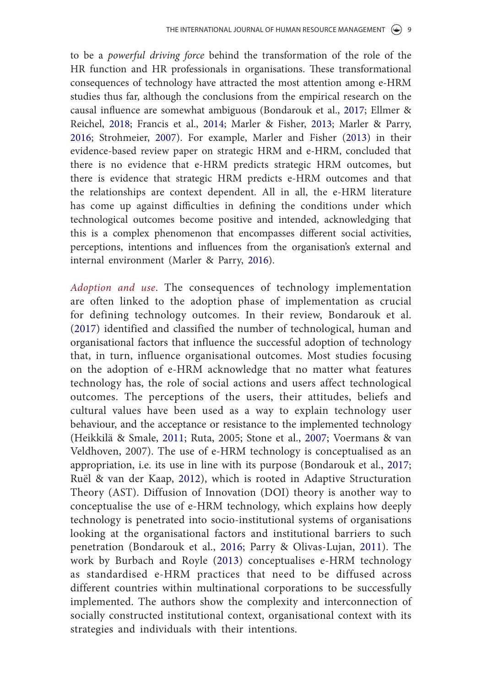to be a *powerful driving force* behind the transformation of the role of the HR function and HR professionals in organisations. These transformational consequences of technology have attracted the most attention among e-HRM studies thus far, although the conclusions from the empirical research on the causal influence are somewhat ambiguous (Bondarouk et al., 2017; Ellmer & Reichel, 2018; Francis et al., 2014; Marler & Fisher, 2013; Marler & Parry, 2016; Strohmeier, 2007). For example, Marler and Fisher (2013) in their evidence-based review paper on strategic HRM and e-HRM, concluded that there is no evidence that e-HRM predicts strategic HRM outcomes, but there is evidence that strategic HRM predicts e-HRM outcomes and that the relationships are context dependent. All in all, the e-HRM literature has come up against difficulties in defining the conditions under which technological outcomes become positive and intended, acknowledging that this is a complex phenomenon that encompasses different social activities, perceptions, intentions and influences from the organisation's external and internal environment (Marler & Parry, 2016).

*Adoption and use*. The consequences of technology implementation are often linked to the adoption phase of implementation as crucial for defining technology outcomes. In their review, Bondarouk et al. (2017) identified and classified the number of technological, human and organisational factors that influence the successful adoption of technology that, in turn, influence organisational outcomes. Most studies focusing on the adoption of e-HRM acknowledge that no matter what features technology has, the role of social actions and users affect technological outcomes. The perceptions of the users, their attitudes, beliefs and cultural values have been used as a way to explain technology user behaviour, and the acceptance or resistance to the implemented technology (Heikkilä & Smale, 2011; Ruta, 2005; Stone et al., 2007; Voermans & van Veldhoven, 2007). The use of e-HRM technology is conceptualised as an appropriation, i.e. its use in line with its purpose (Bondarouk et al., 2017; Ruël & van der Kaap, 2012), which is rooted in Adaptive Structuration Theory (AST). Diffusion of Innovation (DOI) theory is another way to conceptualise the use of e-HRM technology, which explains how deeply technology is penetrated into socio-institutional systems of organisations looking at the organisational factors and institutional barriers to such penetration (Bondarouk et al., 2016; Parry & Olivas-Lujan, 2011). The work by Burbach and Royle (2013) conceptualises e-HRM technology as standardised e-HRM practices that need to be diffused across different countries within multinational corporations to be successfully implemented. The authors show the complexity and interconnection of socially constructed institutional context, organisational context with its strategies and individuals with their intentions.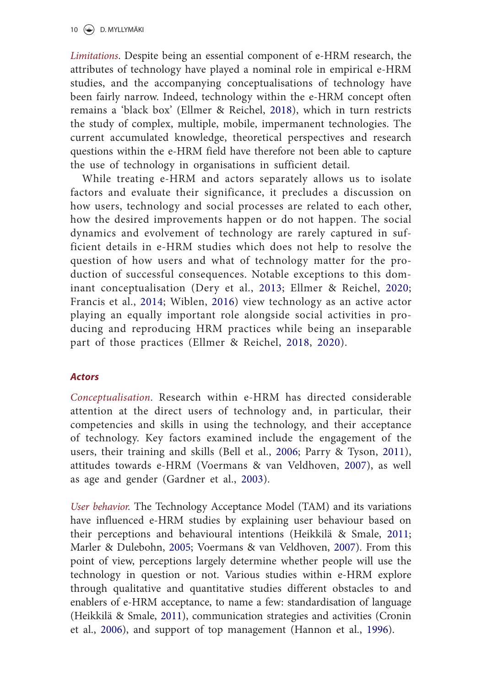*Limitations*. Despite being an essential component of e-HRM research, the attributes of technology have played a nominal role in empirical e-HRM studies, and the accompanying conceptualisations of technology have been fairly narrow. Indeed, technology within the e-HRM concept often remains a 'black box' (Ellmer & Reichel, 2018), which in turn restricts the study of complex, multiple, mobile, impermanent technologies. The current accumulated knowledge, theoretical perspectives and research questions within the e-HRM field have therefore not been able to capture the use of technology in organisations in sufficient detail.

While treating e-HRM and actors separately allows us to isolate factors and evaluate their significance, it precludes a discussion on how users, technology and social processes are related to each other, how the desired improvements happen or do not happen. The social dynamics and evolvement of technology are rarely captured in sufficient details in e-HRM studies which does not help to resolve the question of how users and what of technology matter for the production of successful consequences. Notable exceptions to this dominant conceptualisation (Dery et al., 2013; Ellmer & Reichel, 2020; Francis et al., 2014; Wiblen, 2016) view technology as an active actor playing an equally important role alongside social activities in producing and reproducing HRM practices while being an inseparable part of those practices (Ellmer & Reichel, 2018, 2020).

# *Actors*

*Conceptualisation*. Research within e-HRM has directed considerable attention at the direct users of technology and, in particular, their competencies and skills in using the technology, and their acceptance of technology. Key factors examined include the engagement of the users, their training and skills (Bell et al., 2006; Parry & Tyson, 2011), attitudes towards e-HRM (Voermans & van Veldhoven, 2007), as well as age and gender (Gardner et al., 2003).

*User behavior.* The Technology Acceptance Model (TAM) and its variations have influenced e-HRM studies by explaining user behaviour based on their perceptions and behavioural intentions (Heikkilä & Smale, 2011; Marler & Dulebohn, 2005; Voermans & van Veldhoven, 2007). From this point of view, perceptions largely determine whether people will use the technology in question or not. Various studies within e-HRM explore through qualitative and quantitative studies different obstacles to and enablers of e-HRM acceptance, to name a few: standardisation of language (Heikkilä & Smale, 2011), communication strategies and activities (Cronin et al., 2006), and support of top management (Hannon et al., 1996).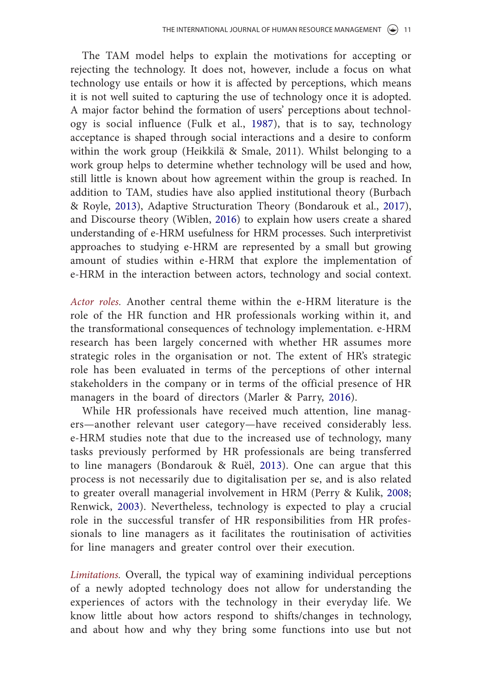The TAM model helps to explain the motivations for accepting or rejecting the technology. It does not, however, include a focus on what technology use entails or how it is affected by perceptions, which means it is not well suited to capturing the use of technology once it is adopted. A major factor behind the formation of users' perceptions about technology is social influence (Fulk et al., 1987), that is to say, technology acceptance is shaped through social interactions and a desire to conform within the work group (Heikkilä & Smale, 2011). Whilst belonging to a work group helps to determine whether technology will be used and how, still little is known about how agreement within the group is reached. In addition to TAM, studies have also applied institutional theory (Burbach & Royle, 2013), Adaptive Structuration Theory (Bondarouk et al., 2017), and Discourse theory (Wiblen, 2016) to explain how users create a shared understanding of e-HRM usefulness for HRM processes. Such interpretivist approaches to studying e-HRM are represented by a small but growing amount of studies within e-HRM that explore the implementation of e-HRM in the interaction between actors, technology and social context.

*Actor roles.* Another central theme within the e-HRM literature is the role of the HR function and HR professionals working within it, and the transformational consequences of technology implementation. e-HRM research has been largely concerned with whether HR assumes more strategic roles in the organisation or not. The extent of HR's strategic role has been evaluated in terms of the perceptions of other internal stakeholders in the company or in terms of the official presence of HR managers in the board of directors (Marler & Parry, 2016).

While HR professionals have received much attention, line managers—another relevant user category—have received considerably less. e-HRM studies note that due to the increased use of technology, many tasks previously performed by HR professionals are being transferred to line managers (Bondarouk & Ruël, 2013). One can argue that this process is not necessarily due to digitalisation per se, and is also related to greater overall managerial involvement in HRM (Perry & Kulik, 2008; Renwick, 2003). Nevertheless, technology is expected to play a crucial role in the successful transfer of HR responsibilities from HR professionals to line managers as it facilitates the routinisation of activities for line managers and greater control over their execution.

*Limitations.* Overall, the typical way of examining individual perceptions of a newly adopted technology does not allow for understanding the experiences of actors with the technology in their everyday life. We know little about how actors respond to shifts/changes in technology, and about how and why they bring some functions into use but not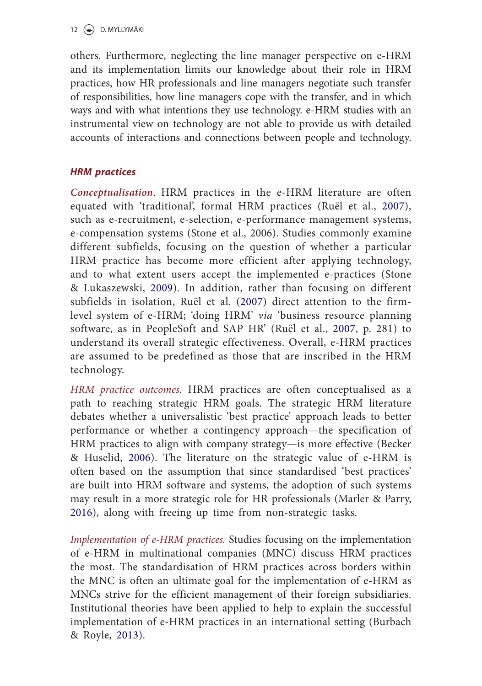others. Furthermore, neglecting the line manager perspective on e-HRM and its implementation limits our knowledge about their role in HRM practices, how HR professionals and line managers negotiate such transfer of responsibilities, how line managers cope with the transfer, and in which ways and with what intentions they use technology. e-HRM studies with an instrumental view on technology are not able to provide us with detailed accounts of interactions and connections between people and technology.

# *HRM practices*

*Conceptualisation*. HRM practices in the e-HRM literature are often equated with 'traditional', formal HRM practices (Ruël et al., 2007), such as e-recruitment, e-selection, e-performance management systems, e-compensation systems (Stone et al., 2006). Studies commonly examine different subfields, focusing on the question of whether a particular HRM practice has become more efficient after applying technology, and to what extent users accept the implemented e-practices (Stone & Lukaszewski, 2009). In addition, rather than focusing on different subfields in isolation, Ruël et al. (2007) direct attention to the firmlevel system of e-HRM; 'doing HRM' *via* 'business resource planning software, as in PeopleSoft and SAP HR' (Ruël et al., 2007, p. 281) to understand its overall strategic effectiveness. Overall, e-HRM practices are assumed to be predefined as those that are inscribed in the HRM technology.

*HRM practice outcomes.* HRM practices are often conceptualised as a path to reaching strategic HRM goals. The strategic HRM literature debates whether a universalistic 'best practice' approach leads to better performance or whether a contingency approach—the specification of HRM practices to align with company strategy—is more effective (Becker & Huselid, 2006). The literature on the strategic value of e-HRM is often based on the assumption that since standardised 'best practices' are built into HRM software and systems, the adoption of such systems may result in a more strategic role for HR professionals (Marler & Parry, 2016), along with freeing up time from non-strategic tasks.

*Implementation of e-HRM practices.* Studies focusing on the implementation of e-HRM in multinational companies (MNC) discuss HRM practices the most. The standardisation of HRM practices across borders within the MNC is often an ultimate goal for the implementation of e-HRM as MNCs strive for the efficient management of their foreign subsidiaries. Institutional theories have been applied to help to explain the successful implementation of e-HRM practices in an international setting (Burbach & Royle, 2013).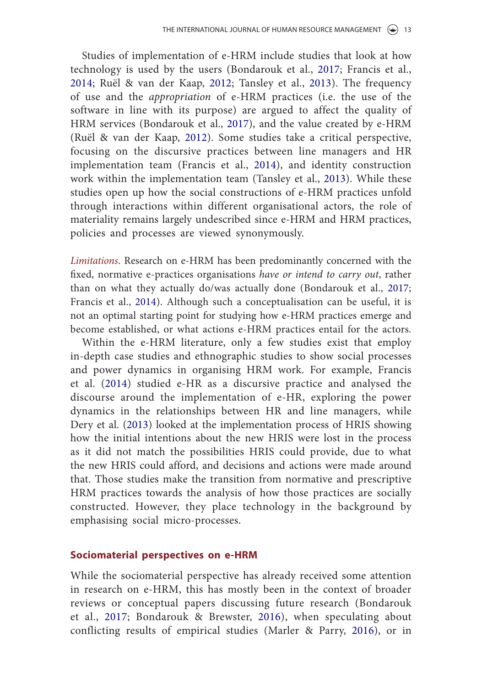Studies of implementation of e-HRM include studies that look at how technology is used by the users (Bondarouk et al., 2017; Francis et al., 2014; Ruël & van der Kaap, 2012; Tansley et al., 2013). The frequency of use and the *appropriation* of e-HRM practices (i.e. the use of the software in line with its purpose) are argued to affect the quality of HRM services (Bondarouk et al., 2017), and the value created by e-HRM (Ruël & van der Kaap, 2012). Some studies take a critical perspective, focusing on the discursive practices between line managers and HR implementation team (Francis et al., 2014), and identity construction work within the implementation team (Tansley et al., 2013). While these studies open up how the social constructions of e-HRM practices unfold through interactions within different organisational actors, the role of materiality remains largely undescribed since e-HRM and HRM practices, policies and processes are viewed synonymously.

*Limitations*. Research on e-HRM has been predominantly concerned with the fixed, normative e-practices organisations *have or intend to carry out*, rather than on what they actually do/was actually done (Bondarouk et al., 2017; Francis et al., 2014). Although such a conceptualisation can be useful, it is not an optimal starting point for studying how e-HRM practices emerge and become established, or what actions e-HRM practices entail for the actors.

Within the e-HRM literature, only a few studies exist that employ in-depth case studies and ethnographic studies to show social processes and power dynamics in organising HRM work. For example, Francis et al. (2014) studied e-HR as a discursive practice and analysed the discourse around the implementation of e-HR, exploring the power dynamics in the relationships between HR and line managers, while Dery et al. (2013) looked at the implementation process of HRIS showing how the initial intentions about the new HRIS were lost in the process as it did not match the possibilities HRIS could provide, due to what the new HRIS could afford, and decisions and actions were made around that. Those studies make the transition from normative and prescriptive HRM practices towards the analysis of how those practices are socially constructed. However, they place technology in the background by emphasising social micro-processes.

#### **Sociomaterial perspectives on e-HRM**

While the sociomaterial perspective has already received some attention in research on e-HRM, this has mostly been in the context of broader reviews or conceptual papers discussing future research (Bondarouk et al., 2017; Bondarouk & Brewster, 2016), when speculating about conflicting results of empirical studies (Marler & Parry, 2016), or in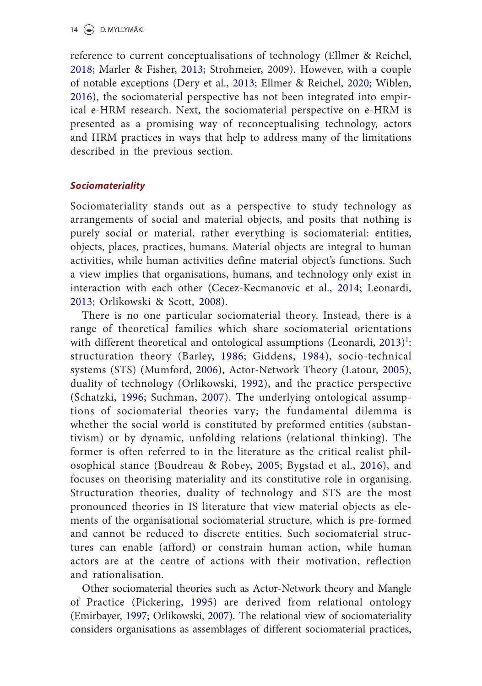reference to current conceptualisations of technology (Ellmer & Reichel, 2018; Marler & Fisher, 2013; Strohmeier, 2009). However, with a couple of notable exceptions (Dery et al., 2013; Ellmer & Reichel, 2020; Wiblen, 2016), the sociomaterial perspective has not been integrated into empirical e-HRM research. Next, the sociomaterial perspective on e-HRM is presented as a promising way of reconceptualising technology, actors and HRM practices in ways that help to address many of the limitations described in the previous section.

# *Sociomateriality*

Sociomateriality stands out as a perspective to study technology as arrangements of social and material objects, and posits that nothing is purely social or material, rather everything is sociomaterial: entities, objects, places, practices, humans. Material objects are integral to human activities, while human activities define material object's functions. Such a view implies that organisations, humans, and technology only exist in interaction with each other (Cecez-Kecmanovic et al., 2014; Leonardi, 2013; Orlikowski & Scott, 2008).

There is no one particular sociomaterial theory. Instead, there is a range of theoretical families which share sociomaterial orientations with different theoretical and ontological assumptions (Leonardi, 2013)<sup>1</sup>: structuration theory (Barley, 1986; Giddens, 1984), socio-technical systems (STS) (Mumford, 2006), Actor-Network Theory (Latour, 2005), duality of technology (Orlikowski, 1992), and the practice perspective (Schatzki, 1996; Suchman, 2007). The underlying ontological assumptions of sociomaterial theories vary; the fundamental dilemma is whether the social world is constituted by preformed entities (substantivism) or by dynamic, unfolding relations (relational thinking). The former is often referred to in the literature as the critical realist philosophical stance (Boudreau & Robey, 2005; Bygstad et al., 2016), and focuses on theorising materiality and its constitutive role in organising. Structuration theories, duality of technology and STS are the most pronounced theories in IS literature that view material objects as elements of the organisational sociomaterial structure, which is pre-formed and cannot be reduced to discrete entities. Such sociomaterial structures can enable (afford) or constrain human action, while human actors are at the centre of actions with their motivation, reflection and rationalisation.

Other sociomaterial theories such as Actor-Network theory and Mangle of Practice (Pickering, 1995) are derived from relational ontology (Emirbayer, 1997; Orlikowski, 2007). The relational view of sociomateriality considers organisations as assemblages of different sociomaterial practices,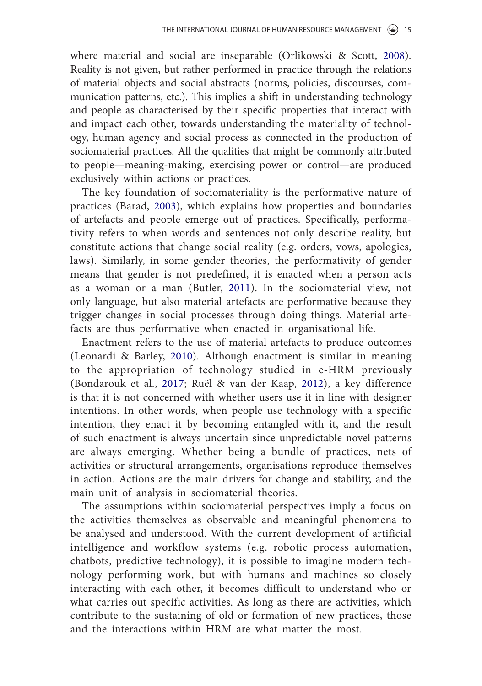where material and social are inseparable (Orlikowski & Scott, 2008). Reality is not given, but rather performed in practice through the relations of material objects and social abstracts (norms, policies, discourses, communication patterns, etc.). This implies a shift in understanding technology and people as characterised by their specific properties that interact with and impact each other, towards understanding the materiality of technology, human agency and social process as connected in the production of sociomaterial practices. All the qualities that might be commonly attributed to people—meaning-making, exercising power or control—are produced exclusively within actions or practices.

The key foundation of sociomateriality is the performative nature of practices (Barad, 2003), which explains how properties and boundaries of artefacts and people emerge out of practices. Specifically, performativity refers to when words and sentences not only describe reality, but constitute actions that change social reality (e.g. orders, vows, apologies, laws). Similarly, in some gender theories, the performativity of gender means that gender is not predefined, it is enacted when a person acts as a woman or a man (Butler, 2011). In the sociomaterial view, not only language, but also material artefacts are performative because they trigger changes in social processes through doing things. Material artefacts are thus performative when enacted in organisational life.

Enactment refers to the use of material artefacts to produce outcomes (Leonardi & Barley, 2010). Although enactment is similar in meaning to the appropriation of technology studied in e-HRM previously (Bondarouk et al., 2017; Ruël & van der Kaap, 2012), a key difference is that it is not concerned with whether users use it in line with designer intentions. In other words, when people use technology with a specific intention, they enact it by becoming entangled with it, and the result of such enactment is always uncertain since unpredictable novel patterns are always emerging. Whether being a bundle of practices, nets of activities or structural arrangements, organisations reproduce themselves in action. Actions are the main drivers for change and stability, and the main unit of analysis in sociomaterial theories.

The assumptions within sociomaterial perspectives imply a focus on the activities themselves as observable and meaningful phenomena to be analysed and understood. With the current development of artificial intelligence and workflow systems (e.g. robotic process automation, chatbots, predictive technology), it is possible to imagine modern technology performing work, but with humans and machines so closely interacting with each other, it becomes difficult to understand who or what carries out specific activities. As long as there are activities, which contribute to the sustaining of old or formation of new practices, those and the interactions within HRM are what matter the most.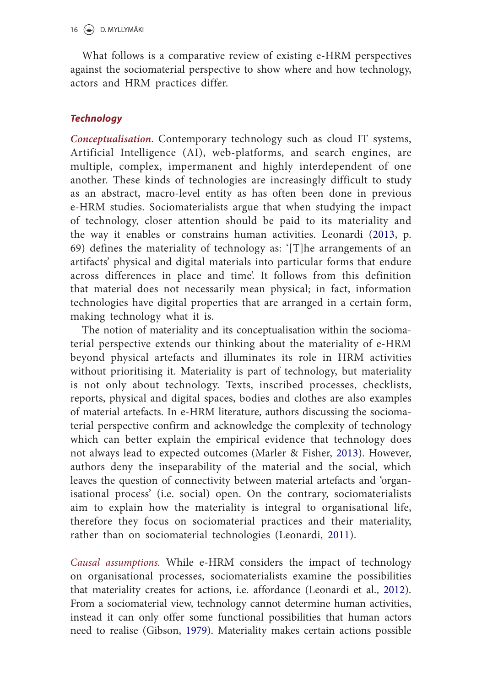What follows is a comparative review of existing e-HRM perspectives against the sociomaterial perspective to show where and how technology, actors and HRM practices differ.

# *Technology*

*Conceptualisation*. Contemporary technology such as cloud IT systems, Artificial Intelligence (AI), web-platforms, and search engines, are multiple, complex, impermanent and highly interdependent of one another. These kinds of technologies are increasingly difficult to study as an abstract, macro-level entity as has often been done in previous e-HRM studies. Sociomaterialists argue that when studying the impact of technology, closer attention should be paid to its materiality and the way it enables or constrains human activities. Leonardi (2013, p. 69) defines the materiality of technology as: '[T]he arrangements of an artifacts' physical and digital materials into particular forms that endure across differences in place and time'. It follows from this definition that material does not necessarily mean physical; in fact, information technologies have digital properties that are arranged in a certain form, making technology what it is.

The notion of materiality and its conceptualisation within the sociomaterial perspective extends our thinking about the materiality of e-HRM beyond physical artefacts and illuminates its role in HRM activities without prioritising it. Materiality is part of technology, but materiality is not only about technology. Texts, inscribed processes, checklists, reports, physical and digital spaces, bodies and clothes are also examples of material artefacts. In e-HRM literature, authors discussing the sociomaterial perspective confirm and acknowledge the complexity of technology which can better explain the empirical evidence that technology does not always lead to expected outcomes (Marler & Fisher, 2013). However, authors deny the inseparability of the material and the social, which leaves the question of connectivity between material artefacts and 'organisational process' (i.e. social) open. On the contrary, sociomaterialists aim to explain how the materiality is integral to organisational life, therefore they focus on sociomaterial practices and their materiality, rather than on sociomaterial technologies (Leonardi, 2011).

*Causal assumptions.* While e-HRM considers the impact of technology on organisational processes, sociomaterialists examine the possibilities that materiality creates for actions, i.e. affordance (Leonardi et al., 2012). From a sociomaterial view, technology cannot determine human activities, instead it can only offer some functional possibilities that human actors need to realise (Gibson, 1979). Materiality makes certain actions possible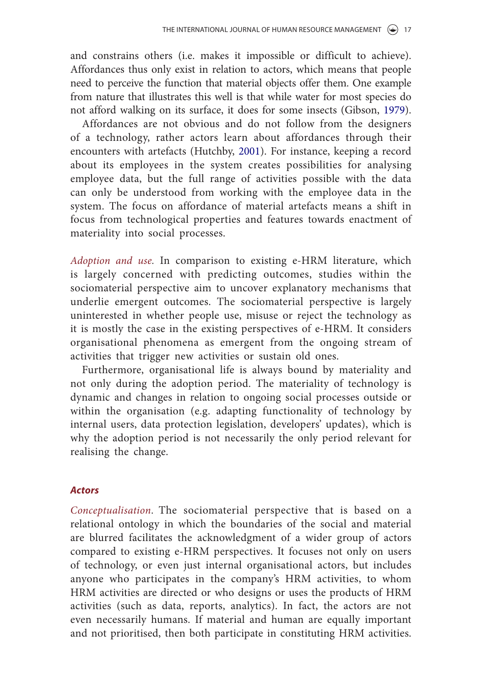and constrains others (i.e. makes it impossible or difficult to achieve). Affordances thus only exist in relation to actors, which means that people need to perceive the function that material objects offer them. One example from nature that illustrates this well is that while water for most species do not afford walking on its surface, it does for some insects (Gibson, 1979).

Affordances are not obvious and do not follow from the designers of a technology, rather actors learn about affordances through their encounters with artefacts (Hutchby, 2001). For instance, keeping a record about its employees in the system creates possibilities for analysing employee data, but the full range of activities possible with the data can only be understood from working with the employee data in the system. The focus on affordance of material artefacts means a shift in focus from technological properties and features towards enactment of materiality into social processes.

*Adoption and use.* In comparison to existing e-HRM literature, which is largely concerned with predicting outcomes, studies within the sociomaterial perspective aim to uncover explanatory mechanisms that underlie emergent outcomes. The sociomaterial perspective is largely uninterested in whether people use, misuse or reject the technology as it is mostly the case in the existing perspectives of e-HRM. It considers organisational phenomena as emergent from the ongoing stream of activities that trigger new activities or sustain old ones.

Furthermore, organisational life is always bound by materiality and not only during the adoption period. The materiality of technology is dynamic and changes in relation to ongoing social processes outside or within the organisation (e.g. adapting functionality of technology by internal users, data protection legislation, developers' updates), which is why the adoption period is not necessarily the only period relevant for realising the change.

#### *Actors*

*Conceptualisation*. The sociomaterial perspective that is based on a relational ontology in which the boundaries of the social and material are blurred facilitates the acknowledgment of a wider group of actors compared to existing e-HRM perspectives. It focuses not only on users of technology, or even just internal organisational actors, but includes anyone who participates in the company's HRM activities, to whom HRM activities are directed or who designs or uses the products of HRM activities (such as data, reports, analytics). In fact, the actors are not even necessarily humans. If material and human are equally important and not prioritised, then both participate in constituting HRM activities.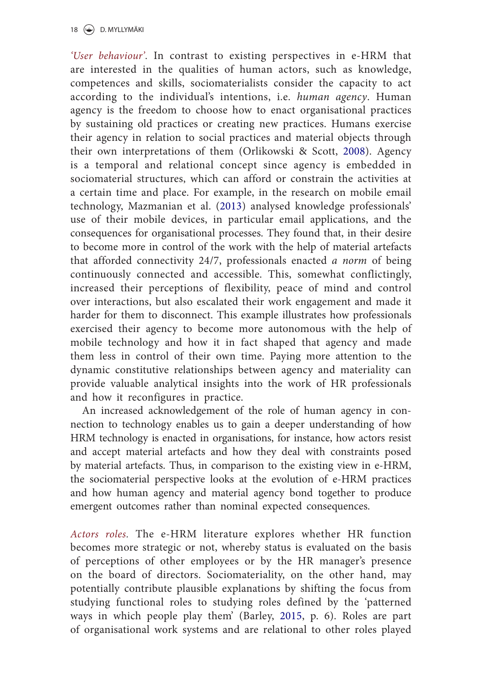*'User behaviour'*. In contrast to existing perspectives in e-HRM that are interested in the qualities of human actors, such as knowledge, competences and skills, sociomaterialists consider the capacity to act according to the individual's intentions, i.e. *human agency*. Human agency is the freedom to choose how to enact organisational practices by sustaining old practices or creating new practices. Humans exercise their agency in relation to social practices and material objects through their own interpretations of them (Orlikowski & Scott, 2008). Agency is a temporal and relational concept since agency is embedded in sociomaterial structures, which can afford or constrain the activities at a certain time and place. For example, in the research on mobile email technology, Mazmanian et al. (2013) analysed knowledge professionals' use of their mobile devices, in particular email applications, and the consequences for organisational processes. They found that, in their desire to become more in control of the work with the help of material artefacts that afforded connectivity 24/7, professionals enacted *a norm* of being continuously connected and accessible. This, somewhat conflictingly, increased their perceptions of flexibility, peace of mind and control over interactions, but also escalated their work engagement and made it harder for them to disconnect. This example illustrates how professionals exercised their agency to become more autonomous with the help of mobile technology and how it in fact shaped that agency and made them less in control of their own time. Paying more attention to the dynamic constitutive relationships between agency and materiality can provide valuable analytical insights into the work of HR professionals and how it reconfigures in practice.

An increased acknowledgement of the role of human agency in connection to technology enables us to gain a deeper understanding of how HRM technology is enacted in organisations, for instance, how actors resist and accept material artefacts and how they deal with constraints posed by material artefacts. Thus, in comparison to the existing view in e-HRM, the sociomaterial perspective looks at the evolution of e-HRM practices and how human agency and material agency bond together to produce emergent outcomes rather than nominal expected consequences.

*Actors roles.* The e-HRM literature explores whether HR function becomes more strategic or not, whereby status is evaluated on the basis of perceptions of other employees or by the HR manager's presence on the board of directors. Sociomateriality, on the other hand, may potentially contribute plausible explanations by shifting the focus from studying functional roles to studying roles defined by the 'patterned ways in which people play them' (Barley, 2015, p. 6). Roles are part of organisational work systems and are relational to other roles played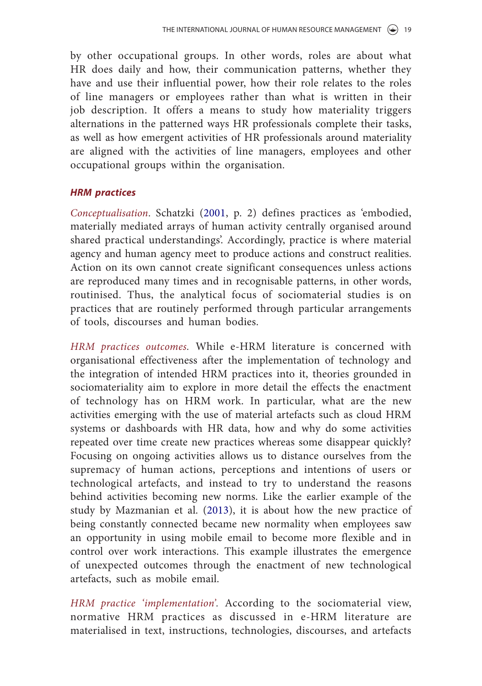by other occupational groups. In other words, roles are about what HR does daily and how, their communication patterns, whether they have and use their influential power, how their role relates to the roles of line managers or employees rather than what is written in their job description. It offers a means to study how materiality triggers alternations in the patterned ways HR professionals complete their tasks, as well as how emergent activities of HR professionals around materiality are aligned with the activities of line managers, employees and other occupational groups within the organisation.

# *HRM practices*

*Conceptualisation*. Schatzki (2001, p. 2) defines practices as 'embodied, materially mediated arrays of human activity centrally organised around shared practical understandings'. Accordingly, practice is where material agency and human agency meet to produce actions and construct realities. Action on its own cannot create significant consequences unless actions are reproduced many times and in recognisable patterns, in other words, routinised. Thus, the analytical focus of sociomaterial studies is on practices that are routinely performed through particular arrangements of tools, discourses and human bodies.

*HRM practices outcomes.* While e-HRM literature is concerned with organisational effectiveness after the implementation of technology and the integration of intended HRM practices into it, theories grounded in sociomateriality aim to explore in more detail the effects the enactment of technology has on HRM work. In particular, what are the new activities emerging with the use of material artefacts such as cloud HRM systems or dashboards with HR data, how and why do some activities repeated over time create new practices whereas some disappear quickly? Focusing on ongoing activities allows us to distance ourselves from the supremacy of human actions, perceptions and intentions of users or technological artefacts, and instead to try to understand the reasons behind activities becoming new norms. Like the earlier example of the study by Mazmanian et al. (2013), it is about how the new practice of being constantly connected became new normality when employees saw an opportunity in using mobile email to become more flexible and in control over work interactions. This example illustrates the emergence of unexpected outcomes through the enactment of new technological artefacts, such as mobile email.

*HRM practice 'implementation'.* According to the sociomaterial view, normative HRM practices as discussed in e-HRM literature are materialised in text, instructions, technologies, discourses, and artefacts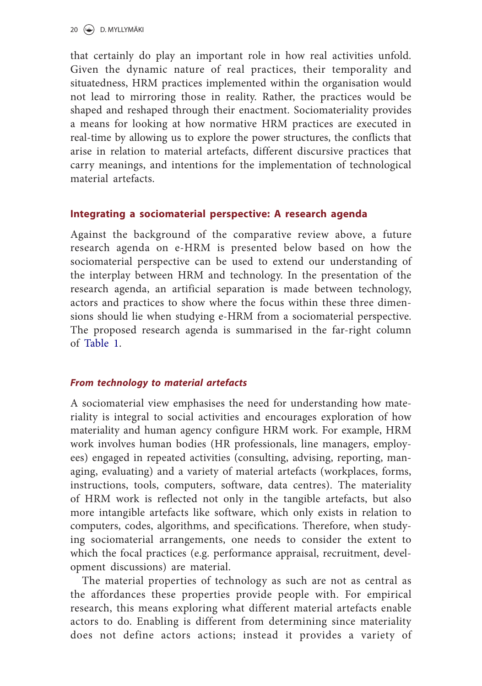that certainly do play an important role in how real activities unfold. Given the dynamic nature of real practices, their temporality and situatedness, HRM practices implemented within the organisation would not lead to mirroring those in reality. Rather, the practices would be shaped and reshaped through their enactment. Sociomateriality provides a means for looking at how normative HRM practices are executed in real-time by allowing us to explore the power structures, the conflicts that arise in relation to material artefacts, different discursive practices that carry meanings, and intentions for the implementation of technological material artefacts.

# **Integrating a sociomaterial perspective: A research agenda**

Against the background of the comparative review above, a future research agenda on e-HRM is presented below based on how the sociomaterial perspective can be used to extend our understanding of the interplay between HRM and technology. In the presentation of the research agenda, an artificial separation is made between technology, actors and practices to show where the focus within these three dimensions should lie when studying e-HRM from a sociomaterial perspective. The proposed research agenda is summarised in the far-right column of Table 1.

# *From technology to material artefacts*

A sociomaterial view emphasises the need for understanding how materiality is integral to social activities and encourages exploration of how materiality and human agency configure HRM work. For example, HRM work involves human bodies (HR professionals, line managers, employees) engaged in repeated activities (consulting, advising, reporting, managing, evaluating) and a variety of material artefacts (workplaces, forms, instructions, tools, computers, software, data centres). The materiality of HRM work is reflected not only in the tangible artefacts, but also more intangible artefacts like software, which only exists in relation to computers, codes, algorithms, and specifications. Therefore, when studying sociomaterial arrangements, one needs to consider the extent to which the focal practices (e.g. performance appraisal, recruitment, development discussions) are material.

The material properties of technology as such are not as central as the affordances these properties provide people with. For empirical research, this means exploring what different material artefacts enable actors to do. Enabling is different from determining since materiality does not define actors actions; instead it provides a variety of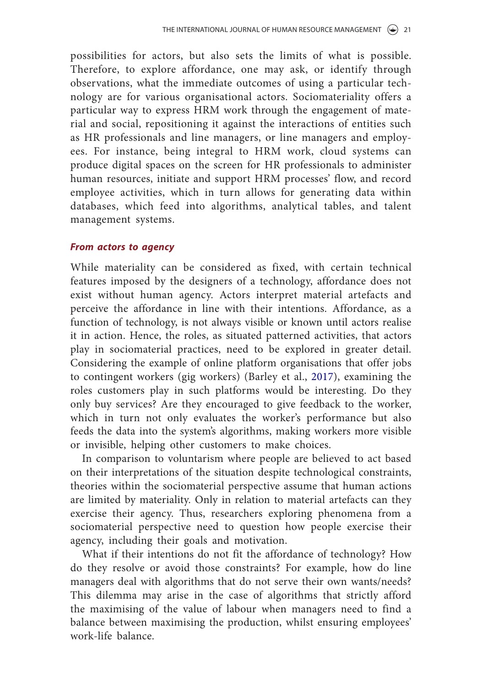possibilities for actors, but also sets the limits of what is possible. Therefore, to explore affordance, one may ask, or identify through observations, what the immediate outcomes of using a particular technology are for various organisational actors. Sociomateriality offers a particular way to express HRM work through the engagement of material and social, repositioning it against the interactions of entities such as HR professionals and line managers, or line managers and employees. For instance, being integral to HRM work, cloud systems can produce digital spaces on the screen for HR professionals to administer human resources, initiate and support HRM processes' flow, and record employee activities, which in turn allows for generating data within databases, which feed into algorithms, analytical tables, and talent management systems.

#### *From actors to agency*

While materiality can be considered as fixed, with certain technical features imposed by the designers of a technology, affordance does not exist without human agency. Actors interpret material artefacts and perceive the affordance in line with their intentions. Affordance, as a function of technology, is not always visible or known until actors realise it in action. Hence, the roles, as situated patterned activities, that actors play in sociomaterial practices, need to be explored in greater detail. Considering the example of online platform organisations that offer jobs to contingent workers (gig workers) (Barley et al., 2017), examining the roles customers play in such platforms would be interesting. Do they only buy services? Are they encouraged to give feedback to the worker, which in turn not only evaluates the worker's performance but also feeds the data into the system's algorithms, making workers more visible or invisible, helping other customers to make choices.

In comparison to voluntarism where people are believed to act based on their interpretations of the situation despite technological constraints, theories within the sociomaterial perspective assume that human actions are limited by materiality. Only in relation to material artefacts can they exercise their agency. Thus, researchers exploring phenomena from a sociomaterial perspective need to question how people exercise their agency, including their goals and motivation.

What if their intentions do not fit the affordance of technology? How do they resolve or avoid those constraints? For example, how do line managers deal with algorithms that do not serve their own wants/needs? This dilemma may arise in the case of algorithms that strictly afford the maximising of the value of labour when managers need to find a balance between maximising the production, whilst ensuring employees' work-life balance.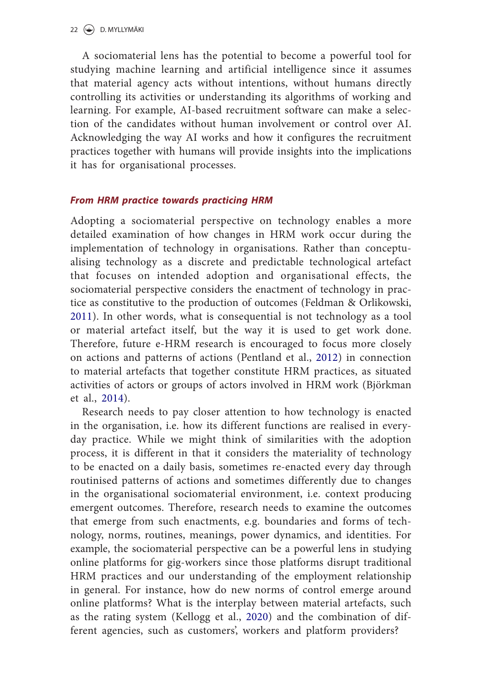A sociomaterial lens has the potential to become a powerful tool for studying machine learning and artificial intelligence since it assumes that material agency acts without intentions, without humans directly controlling its activities or understanding its algorithms of working and learning. For example, AI-based recruitment software can make a selection of the candidates without human involvement or control over AI. Acknowledging the way AI works and how it configures the recruitment practices together with humans will provide insights into the implications it has for organisational processes.

# *From HRM practice towards practicing HRM*

Adopting a sociomaterial perspective on technology enables a more detailed examination of how changes in HRM work occur during the implementation of technology in organisations. Rather than conceptualising technology as a discrete and predictable technological artefact that focuses on intended adoption and organisational effects, the sociomaterial perspective considers the enactment of technology in practice as constitutive to the production of outcomes (Feldman & Orlikowski, 2011). In other words, what is consequential is not technology as a tool or material artefact itself, but the way it is used to get work done. Therefore, future e-HRM research is encouraged to focus more closely on actions and patterns of actions (Pentland et al., 2012) in connection to material artefacts that together constitute HRM practices, as situated activities of actors or groups of actors involved in HRM work (Björkman et al., 2014).

Research needs to pay closer attention to how technology is enacted in the organisation, i.e. how its different functions are realised in everyday practice. While we might think of similarities with the adoption process, it is different in that it considers the materiality of technology to be enacted on a daily basis, sometimes re-enacted every day through routinised patterns of actions and sometimes differently due to changes in the organisational sociomaterial environment, i.e. context producing emergent outcomes. Therefore, research needs to examine the outcomes that emerge from such enactments, e.g. boundaries and forms of technology, norms, routines, meanings, power dynamics, and identities. For example, the sociomaterial perspective can be a powerful lens in studying online platforms for gig-workers since those platforms disrupt traditional HRM practices and our understanding of the employment relationship in general. For instance, how do new norms of control emerge around online platforms? What is the interplay between material artefacts, such as the rating system (Kellogg et al., 2020) and the combination of different agencies, such as customers', workers and platform providers?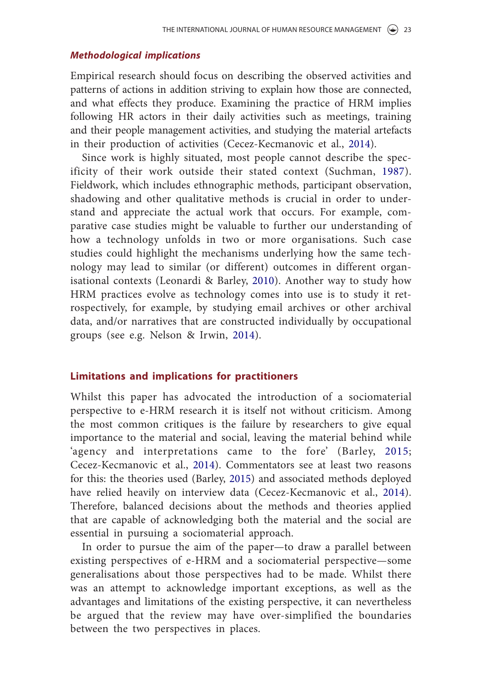#### *Methodological implications*

Empirical research should focus on describing the observed activities and patterns of actions in addition striving to explain how those are connected, and what effects they produce. Examining the practice of HRM implies following HR actors in their daily activities such as meetings, training and their people management activities, and studying the material artefacts in their production of activities (Cecez-Kecmanovic et al., 2014).

Since work is highly situated, most people cannot describe the specificity of their work outside their stated context (Suchman, 1987). Fieldwork, which includes ethnographic methods, participant observation, shadowing and other qualitative methods is crucial in order to understand and appreciate the actual work that occurs. For example, comparative case studies might be valuable to further our understanding of how a technology unfolds in two or more organisations. Such case studies could highlight the mechanisms underlying how the same technology may lead to similar (or different) outcomes in different organisational contexts (Leonardi & Barley, 2010). Another way to study how HRM practices evolve as technology comes into use is to study it retrospectively, for example, by studying email archives or other archival data, and/or narratives that are constructed individually by occupational groups (see e.g. Nelson & Irwin, 2014).

#### **Limitations and implications for practitioners**

Whilst this paper has advocated the introduction of a sociomaterial perspective to e-HRM research it is itself not without criticism. Among the most common critiques is the failure by researchers to give equal importance to the material and social, leaving the material behind while 'agency and interpretations came to the fore' (Barley, 2015; Cecez-Kecmanovic et al., 2014). Commentators see at least two reasons for this: the theories used (Barley, 2015) and associated methods deployed have relied heavily on interview data (Cecez-Kecmanovic et al., 2014). Therefore, balanced decisions about the methods and theories applied that are capable of acknowledging both the material and the social are essential in pursuing a sociomaterial approach.

In order to pursue the aim of the paper—to draw a parallel between existing perspectives of e-HRM and a sociomaterial perspective—some generalisations about those perspectives had to be made. Whilst there was an attempt to acknowledge important exceptions, as well as the advantages and limitations of the existing perspective, it can nevertheless be argued that the review may have over-simplified the boundaries between the two perspectives in places.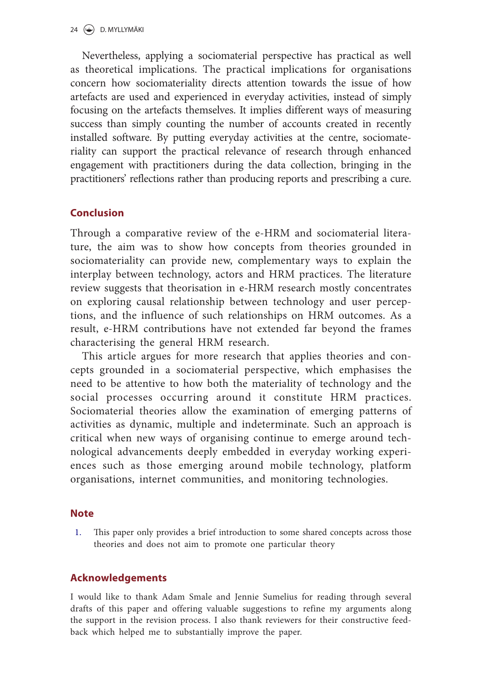Nevertheless, applying a sociomaterial perspective has practical as well as theoretical implications. The practical implications for organisations concern how sociomateriality directs attention towards the issue of how artefacts are used and experienced in everyday activities, instead of simply focusing on the artefacts themselves. It implies different ways of measuring success than simply counting the number of accounts created in recently installed software. By putting everyday activities at the centre, sociomateriality can support the practical relevance of research through enhanced engagement with practitioners during the data collection, bringing in the practitioners' reflections rather than producing reports and prescribing a cure.

# **Conclusion**

Through a comparative review of the e-HRM and sociomaterial literature, the aim was to show how concepts from theories grounded in sociomateriality can provide new, complementary ways to explain the interplay between technology, actors and HRM practices. The literature review suggests that theorisation in e-HRM research mostly concentrates on exploring causal relationship between technology and user perceptions, and the influence of such relationships on HRM outcomes. As a result, e-HRM contributions have not extended far beyond the frames characterising the general HRM research.

This article argues for more research that applies theories and concepts grounded in a sociomaterial perspective, which emphasises the need to be attentive to how both the materiality of technology and the social processes occurring around it constitute HRM practices. Sociomaterial theories allow the examination of emerging patterns of activities as dynamic, multiple and indeterminate. Such an approach is critical when new ways of organising continue to emerge around technological advancements deeply embedded in everyday working experiences such as those emerging around mobile technology, platform organisations, internet communities, and monitoring technologies.

# **Note**

1. This paper only provides a brief introduction to some shared concepts across those theories and does not aim to promote one particular theory

# **Acknowledgements**

I would like to thank Adam Smale and Jennie Sumelius for reading through several drafts of this paper and offering valuable suggestions to refine my arguments along the support in the revision process. I also thank reviewers for their constructive feedback which helped me to substantially improve the paper.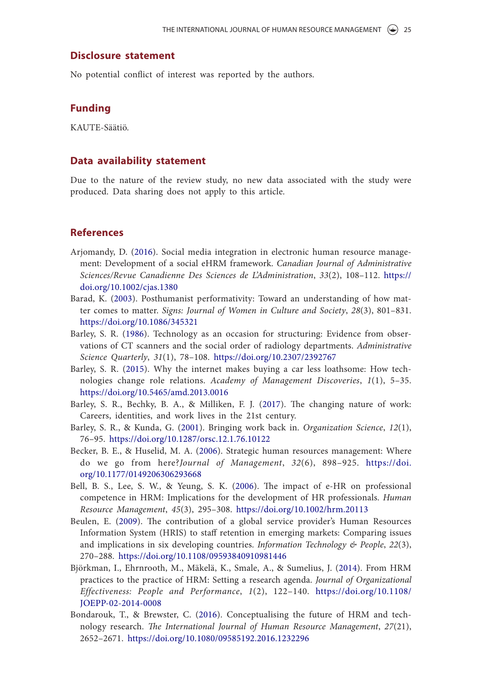#### **Disclosure statement**

No potential conflict of interest was reported by the authors.

#### **Funding**

KAUTE-Säätiö.

#### **Data availability statement**

Due to the nature of the review study, no new data associated with the study were produced. Data sharing does not apply to this article.

#### **References**

- Arjomandy, D. (2016). Social media integration in electronic human resource management: Development of a social eHRM framework. *Canadian Journal of Administrative Sciences/Revue Canadienne Des Sciences de L'Administration*, *33*(2), 108–112. https:// doi.org/10.1002/cjas.1380
- Barad, K. (2003). Posthumanist performativity: Toward an understanding of how matter comes to matter. *Signs: Journal of Women in Culture and Society*, *28*(3), 801–831. https://doi.org/10.1086/345321
- Barley, S. R. (1986). Technology as an occasion for structuring: Evidence from observations of CT scanners and the social order of radiology departments. *Administrative Science Quarterly*, *31*(1), 78–108. https://doi.org/10.2307/2392767
- Barley, S. R. (2015). Why the internet makes buying a car less loathsome: How technologies change role relations. *Academy of Management Discoveries*, *1*(1), 5–35. https://doi.org/10.5465/amd.2013.0016
- Barley, S. R., Bechky, B. A., & Milliken, F. J. (2017). The changing nature of work: Careers, identities, and work lives in the 21st century.
- Barley, S. R., & Kunda, G. (2001). Bringing work back in. *Organization Science*, *12*(1), 76–95. https://doi.org/10.1287/orsc.12.1.76.10122
- Becker, B. E., & Huselid, M. A. (2006). Strategic human resources management: Where do we go from here?*Journal of Management*, *32*(6), 898–925. https://doi. org/10.1177/0149206306293668
- Bell, B. S., Lee, S. W., & Yeung, S. K. (2006). The impact of e‐HR on professional competence in HRM: Implications for the development of HR professionals. *Human Resource Management*, *45*(3), 295–308. https://doi.org/10.1002/hrm.20113
- Beulen, E. (2009). The contribution of a global service provider's Human Resources Information System (HRIS) to staff retention in emerging markets: Comparing issues and implications in six developing countries. *Information Technology & People*, *22*(3), 270–288. https://doi.org/10.1108/09593840910981446
- Björkman, I., Ehrnrooth, M., Mäkelä, K., Smale, A., & Sumelius, J. (2014). From HRM practices to the practice of HRM: Setting a research agenda. *Journal of Organizational Effectiveness: People and Performance*, *1*(2), 122–140. https://doi.org/10.1108/ JOEPP-02-2014-0008
- Bondarouk, T., & Brewster, C. (2016). Conceptualising the future of HRM and technology research. *The International Journal of Human Resource Management*, *27*(21), 2652–2671. https://doi.org/10.1080/09585192.2016.1232296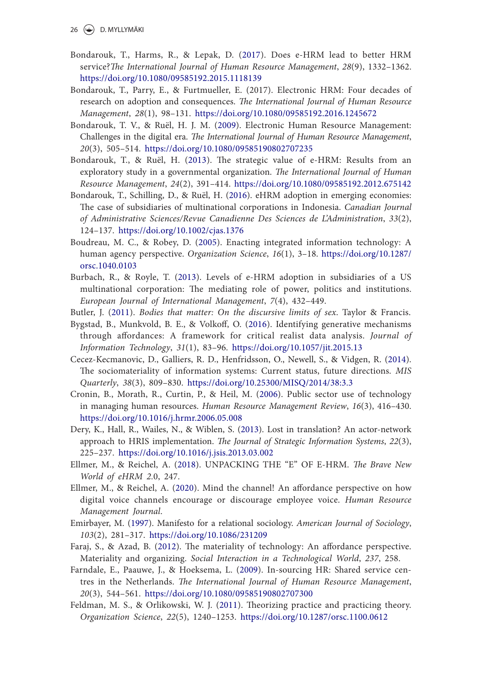26 D. MYLLYMÄKI

- Bondarouk, T., Harms, R., & Lepak, D. (2017). Does e-HRM lead to better HRM service?*The International Journal of Human Resource Management*, *28*(9), 1332–1362. https://doi.org/10.1080/09585192.2015.1118139
- Bondarouk, T., Parry, E., & Furtmueller, E. (2017). Electronic HRM: Four decades of research on adoption and consequences. *The International Journal of Human Resource Management*, *28*(1), 98–131. https://doi.org/10.1080/09585192.2016.1245672
- Bondarouk, T. V., & Ruël, H. J. M. (2009). Electronic Human Resource Management: Challenges in the digital era. *The International Journal of Human Resource Management*, *20*(3), 505–514. https://doi.org/10.1080/09585190802707235
- Bondarouk, T., & Ruël, H. (2013). The strategic value of e-HRM: Results from an exploratory study in a governmental organization. *The International Journal of Human Resource Management*, *24*(2), 391–414. https://doi.org/10.1080/09585192.2012.675142
- Bondarouk, T., Schilling, D., & Ruël, H. (2016). eHRM adoption in emerging economies: The case of subsidiaries of multinational corporations in Indonesia. *Canadian Journal of Administrative Sciences/Revue Canadienne Des Sciences de L'Administration*, *33*(2), 124–137. https://doi.org/10.1002/cjas.1376
- Boudreau, M. C., & Robey, D. (2005). Enacting integrated information technology: A human agency perspective. *Organization Science*, *16*(1), 3–18. https://doi.org/10.1287/ orsc.1040.0103
- Burbach, R., & Royle, T. (2013). Levels of e-HRM adoption in subsidiaries of a US multinational corporation: The mediating role of power, politics and institutions. *European Journal of International Management*, *7*(4), 432–449.
- Butler, J. (2011). *Bodies that matter: On the discursive limits of sex*. Taylor & Francis.
- Bygstad, B., Munkvold, B. E., & Volkoff, O. (2016). Identifying generative mechanisms through affordances: A framework for critical realist data analysis. *Journal of Information Technology*, *31*(1), 83–96. https://doi.org/10.1057/jit.2015.13
- Cecez-Kecmanovic, D., Galliers, R. D., Henfridsson, O., Newell, S., & Vidgen, R. (2014). The sociomateriality of information systems: Current status, future directions. *MIS Quarterly*, *38*(3), 809–830. https://doi.org/10.25300/MISQ/2014/38:3.3
- Cronin, B., Morath, R., Curtin, P., & Heil, M. (2006). Public sector use of technology in managing human resources. *Human Resource Management Review*, *16*(3), 416–430. https://doi.org/10.1016/j.hrmr.2006.05.008
- Dery, K., Hall, R., Wailes, N., & Wiblen, S. (2013). Lost in translation? An actor-network approach to HRIS implementation. *The Journal of Strategic Information Systems*, *22*(3), 225–237. https://doi.org/10.1016/j.jsis.2013.03.002
- Ellmer, M., & Reichel, A. (2018). UNPACKING THE "E" OF E-HRM. *The Brave New World of eHRM 2.*0, 247.
- Ellmer, M., & Reichel, A. (2020). Mind the channel! An affordance perspective on how digital voice channels encourage or discourage employee voice. *Human Resource Management Journal*.
- Emirbayer, M. (1997). Manifesto for a relational sociology. *American Journal of Sociology*, *103*(2), 281–317. https://doi.org/10.1086/231209
- Faraj, S., & Azad, B. (2012). The materiality of technology: An affordance perspective. Materiality and organizing. *Social Interaction in a Technological World*, *237*, 258.
- Farndale, E., Paauwe, J., & Hoeksema, L. (2009). In-sourcing HR: Shared service centres in the Netherlands. *The International Journal of Human Resource Management*, *20*(3), 544–561. https://doi.org/10.1080/09585190802707300
- Feldman, M. S., & Orlikowski, W. J. (2011). Theorizing practice and practicing theory. *Organization Science*, *22*(5), 1240–1253. https://doi.org/10.1287/orsc.1100.0612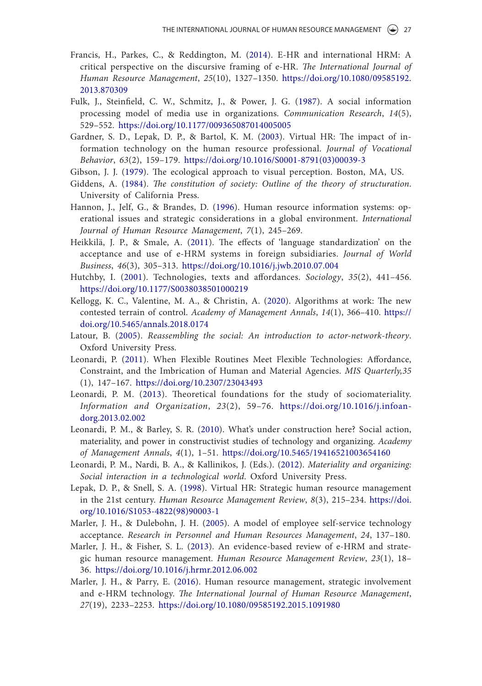- Francis, H., Parkes, C., & Reddington, M. (2014). E-HR and international HRM: A critical perspective on the discursive framing of e-HR. *The International Journal of Human Resource Management*, *25*(10), 1327–1350. https://doi.org/10.1080/09585192. 2013.870309
- Fulk, J., Steinfield, C. W., Schmitz, J., & Power, J. G. (1987). A social information processing model of media use in organizations. *Communication Research*, *14*(5), 529–552. https://doi.org/10.1177/009365087014005005
- Gardner, S. D., Lepak, D. P., & Bartol, K. M. (2003). Virtual HR: The impact of information technology on the human resource professional. *Journal of Vocational Behavior*, *63*(2), 159–179. https://doi.org/10.1016/S0001-8791(03)00039-3
- Gibson, J. J. (1979). The ecological approach to visual perception. Boston, MA, US.
- Giddens, A. (1984). *The constitution of society: Outline of the theory of structuration*. University of California Press.
- Hannon, J., Jelf, G., & Brandes, D. (1996). Human resource information systems: operational issues and strategic considerations in a global environment. *International Journal of Human Resource Management*, *7*(1), 245–269.
- Heikkilä, J. P., & Smale, A. (2011). The effects of 'language standardization' on the acceptance and use of e-HRM systems in foreign subsidiaries. *Journal of World Business*, *46*(3), 305–313. https://doi.org/10.1016/j.jwb.2010.07.004
- Hutchby, I. (2001). Technologies, texts and affordances. *Sociology*, *35*(2), 441–456. https://doi.org/10.1177/S0038038501000219
- Kellogg, K. C., Valentine, M. A., & Christin, A. (2020). Algorithms at work: The new contested terrain of control. *Academy of Management Annals*, *14*(1), 366–410. https:// doi.org/10.5465/annals.2018.0174
- Latour, B. (2005). *Reassembling the social: An introduction to actor-network-theory*. Oxford University Press.
- Leonardi, P. (2011). When Flexible Routines Meet Flexible Technologies: Affordance, Constraint, and the Imbrication of Human and Material Agencies. *MIS Quarterly,35* (1), 147–167. https://doi.org/10.2307/23043493
- Leonardi, P. M. (2013). Theoretical foundations for the study of sociomateriality. *Information and Organization*, *23*(2), 59–76. https://doi.org/10.1016/j.infoandorg.2013.02.002
- Leonardi, P. M., & Barley, S. R. (2010). What's under construction here? Social action, materiality, and power in constructivist studies of technology and organizing. *Academy of Management Annals*, *4*(1), 1–51. https://doi.org/10.5465/19416521003654160
- Leonardi, P. M., Nardi, B. A., & Kallinikos, J. (Eds.). (2012). *Materiality and organizing: Social interaction in a technological world*. Oxford University Press.
- Lepak, D. P., & Snell, S. A. (1998). Virtual HR: Strategic human resource management in the 21st century. *Human Resource Management Review*, *8*(3), 215–234. https://doi. org/10.1016/S1053-4822(98)90003-1
- Marler, J. H., & Dulebohn, J. H. (2005). A model of employee self-service technology acceptance. *Research in Personnel and Human Resources Management*, *24*, 137–180.
- Marler, J. H., & Fisher, S. L. (2013). An evidence-based review of e-HRM and strategic human resource management. *Human Resource Management Review*, *23*(1), 18– 36. https://doi.org/10.1016/j.hrmr.2012.06.002
- Marler, J. H., & Parry, E. (2016). Human resource management, strategic involvement and e-HRM technology. *The International Journal of Human Resource Management*, *27*(19), 2233–2253. https://doi.org/10.1080/09585192.2015.1091980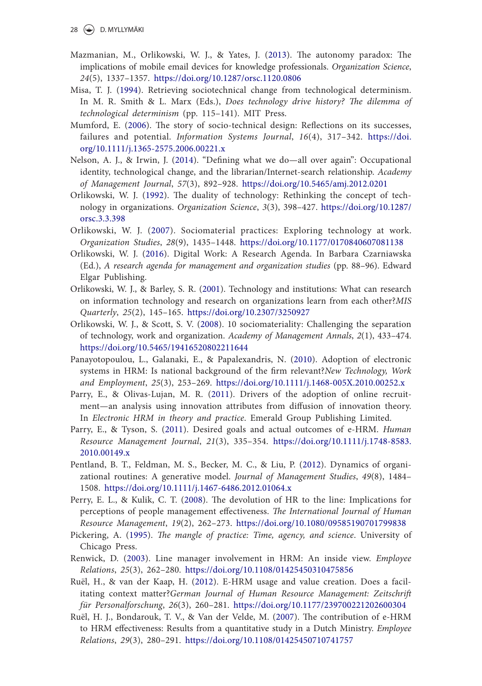- Mazmanian, M., Orlikowski, W. J., & Yates, J. (2013). The autonomy paradox: The implications of mobile email devices for knowledge professionals. *Organization Science*, *24*(5), 1337–1357. https://doi.org/10.1287/orsc.1120.0806
- Misa, T. J. (1994). Retrieving sociotechnical change from technological determinism. In M. R. Smith & L. Marx (Eds.), *Does technology drive history? The dilemma of technological determinism* (pp. 115–141). MIT Press.
- Mumford, E. (2006). The story of socio‐technical design: Reflections on its successes, failures and potential. *Information Systems Journal*, *16*(4), 317–342. https://doi. org/10.1111/j.1365-2575.2006.00221.x
- Nelson, A. J., & Irwin, J. (2014). "Defining what we do—all over again": Occupational identity, technological change, and the librarian/Internet-search relationship. *Academy of Management Journal*, *57*(3), 892–928. https://doi.org/10.5465/amj.2012.0201
- Orlikowski, W. J. (1992). The duality of technology: Rethinking the concept of technology in organizations. *Organization Science*, *3*(3), 398–427. https://doi.org/10.1287/ orsc.3.3.398
- Orlikowski, W. J. (2007). Sociomaterial practices: Exploring technology at work. *Organization Studies*, *28*(9), 1435–1448. https://doi.org/10.1177/0170840607081138
- Orlikowski, W. J. (2016). Digital Work: A Research Agenda. In Barbara Czarniawska (Ed.), *A research agenda for management and organization studies* (pp. 88–96). Edward Elgar Publishing.
- Orlikowski, W. J., & Barley, S. R. (2001). Technology and institutions: What can research on information technology and research on organizations learn from each other?*MIS Quarterly*, *25*(2), 145–165. https://doi.org/10.2307/3250927
- Orlikowski, W. J., & Scott, S. V. (2008). 10 sociomateriality: Challenging the separation of technology, work and organization. *Academy of Management Annals*, *2*(1), 433–474. https://doi.org/10.5465/19416520802211644
- Panayotopoulou, L., Galanaki, E., & Papalexandris, N. (2010). Adoption of electronic systems in HRM: Is national background of the firm relevant?*New Technology, Work and Employment*, *25*(3), 253–269. https://doi.org/10.1111/j.1468-005X.2010.00252.x
- Parry, E., & Olivas-Lujan, M. R. (2011). Drivers of the adoption of online recruitment—an analysis using innovation attributes from diffusion of innovation theory. In *Electronic HRM in theory and practice*. Emerald Group Publishing Limited.
- Parry, E., & Tyson, S. (2011). Desired goals and actual outcomes of e-HRM. *Human Resource Management Journal*, *21*(3), 335–354. https://doi.org/10.1111/j.1748-8583. 2010.00149.x
- Pentland, B. T., Feldman, M. S., Becker, M. C., & Liu, P. (2012). Dynamics of organizational routines: A generative model. *Journal of Management Studies*, *49*(8), 1484– 1508. https://doi.org/10.1111/j.1467-6486.2012.01064.x
- Perry, E. L., & Kulik, C. T. (2008). The devolution of HR to the line: Implications for perceptions of people management effectiveness. *The International Journal of Human Resource Management*, *19*(2), 262–273. https://doi.org/10.1080/09585190701799838
- Pickering, A. (1995). *The mangle of practice: Time, agency, and science*. University of Chicago Press.
- Renwick, D. (2003). Line manager involvement in HRM: An inside view. *Employee Relations*, *25*(3), 262–280. https://doi.org/10.1108/01425450310475856
- Ruël, H., & van der Kaap, H. (2012). E-HRM usage and value creation. Does a facilitating context matter?*German Journal of Human Resource Management: Zeitschrift für Personalforschung*, *26*(3), 260–281. https://doi.org/10.1177/239700221202600304
- Ruël, H. J., Bondarouk, T. V., & Van der Velde, M. (2007). The contribution of e-HRM to HRM effectiveness: Results from a quantitative study in a Dutch Ministry. *Employee Relations*, *29*(3), 280–291. https://doi.org/10.1108/01425450710741757